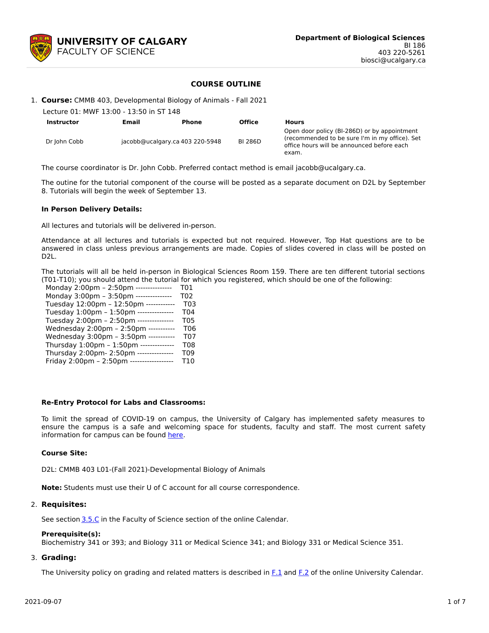

## **COURSE OUTLINE**

1. **Course:** CMMB 403, Developmental Biology of Animals - Fall 2021

| Lecture 01: MWF 13:00 - 13:50 in ST 148 |       |                                 |                |                                                                                                                                                       |  |  |  |
|-----------------------------------------|-------|---------------------------------|----------------|-------------------------------------------------------------------------------------------------------------------------------------------------------|--|--|--|
| <b>Instructor</b>                       | Email | <b>Phone</b>                    | <b>Office</b>  | <b>Hours</b>                                                                                                                                          |  |  |  |
| Dr John Cobb                            |       | jacobb@ucalgary.ca 403 220-5948 | <b>BI 286D</b> | Open door policy (BI-286D) or by appointment<br>(recommended to be sure I'm in my office). Set<br>office hours will be announced before each<br>exam. |  |  |  |

The course coordinator is Dr. John Cobb. Preferred contact method is email jacobb@ucalgary.ca.

The outine for the tutorial component of the course will be posted as a separate document on D2L by September 8. Tutorials will begin the week of September 13.

#### **In Person Delivery Details:**

All lectures and tutorials will be delivered in-person.

Attendance at all lectures and tutorials is expected but not required. However, Top Hat questions are to be answered in class unless previous arrangements are made. Copies of slides covered in class will be posted on D2L.

The tutorials will all be held in-person in Biological Sciences Room 159. There are ten different tutorial sections (T01-T10); you should attend the tutorial for which you registered, which should be one of the following:

| Monday 2:00pm - 2:50pm --------------     | T01              |
|-------------------------------------------|------------------|
| Monday 3:00pm - 3:50pm ---------------    | T <sub>0</sub> 2 |
| Tuesday 12:00pm - 12:50pm ------------    | T <sub>0</sub> 3 |
| Tuesday 1:00pm - 1:50pm ---------------   | T <sub>04</sub>  |
| Tuesday 2:00pm - 2:50pm ---------------   | T <sub>05</sub>  |
| Wednesday 2:00pm - 2:50pm -----------     | T <sub>06</sub>  |
| Wednesday 3:00pm - 3:50pm -----------     | T <sub>07</sub>  |
| Thursday 1:00pm - 1:50pm --------------   | <b>T08</b>       |
| Thursday 2:00pm- 2:50pm ---------------   | T <sub>09</sub>  |
| Friday 2:00pm - 2:50pm ------------------ | T <sub>10</sub>  |
|                                           |                  |

#### **Re-Entry Protocol for Labs and Classrooms:**

To limit the spread of COVID-19 on campus, the University of Calgary has implemented safety measures to ensure the campus is a safe and welcoming space for students, faculty and staff. The most current safety information for campus can be found [here](https://www.ucalgary.ca/risk/emergency-management/covid-19-response/return-campus-safety).

#### **Course Site:**

D2L: CMMB 403 L01-(Fall 2021)-Developmental Biology of Animals

**Note:** Students must use their U of C account for all course correspondence.

#### 2. **Requisites:**

See section [3.5.C](http://www.ucalgary.ca/pubs/calendar/current/sc-3-5.html) in the Faculty of Science section of the online Calendar.

#### **Prerequisite(s):**

Biochemistry 341 or 393; and Biology 311 or Medical Science 341; and Biology 331 or Medical Science 351.

## 3. **Grading:**

The University policy on grading and related matters is described in [F.1](http://www.ucalgary.ca/pubs/calendar/current/f-1.html) and [F.2](http://www.ucalgary.ca/pubs/calendar/current/f-2.html) of the online University Calendar.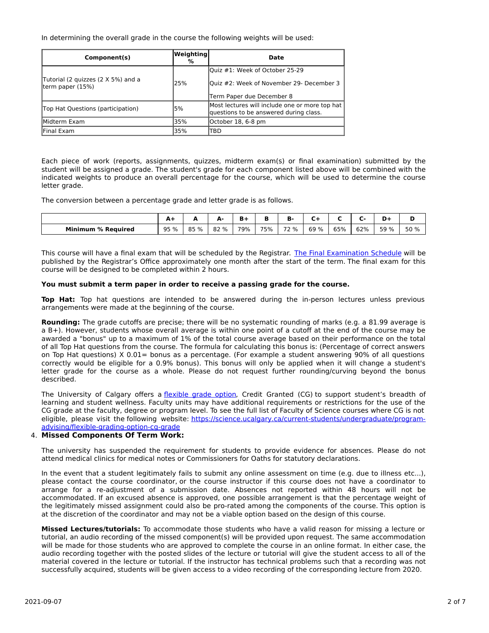In determining the overall grade in the course the following weights will be used:

| Component(s)                                            | Weighting <br>% | Date                                                                                     |  |
|---------------------------------------------------------|-----------------|------------------------------------------------------------------------------------------|--|
|                                                         |                 | Quiz #1: Week of October 25-29                                                           |  |
| Tutorial (2 guizzes (2 X 5%) and a<br>Iterm paper (15%) | 25%             | Quiz #2: Week of November 29- December 3                                                 |  |
|                                                         |                 | Term Paper due December 8                                                                |  |
| Top Hat Questions (participation)                       | 5%              | Most lectures will include one or more top hat<br>questions to be answered during class. |  |
| lMidterm Exam                                           | 35%             | October 18, 6-8 pm                                                                       |  |
| Final Exam                                              | 35%             | TBD                                                                                      |  |

Each piece of work (reports, assignments, quizzes, midterm exam(s) or final examination) submitted by the student will be assigned a grade. The student's grade for each component listed above will be combined with the indicated weights to produce an overall percentage for the course, which will be used to determine the course letter grade.

The conversion between a percentage grade and letter grade is as follows.

|                                | $\mathbf{r}$<br><u>л</u> | -    | А.<br>$\overline{\phantom{a}}$ |     |     | ъ.   |         |     | $\sim$ | -    |      |
|--------------------------------|--------------------------|------|--------------------------------|-----|-----|------|---------|-----|--------|------|------|
| <b>Minimum</b><br>। % Reauired | 95 %                     | 85 % | 82 %                           | 79% | 75% | 72 % | %<br>69 | 65% | 62%    | 59 % | 50 % |

This course will have a final exam that will be scheduled by the Registrar. The Final [Examination](https://www.ucalgary.ca/registrar/exams) Schedule will be published by the Registrar's Office approximately one month after the start of the term. The final exam for this course will be designed to be completed within 2 hours.

## **You must submit a term paper in order to receive a passing grade for the course.**

**Top Hat:** Top hat questions are intended to be answered during the in-person lectures unless previous arrangements were made at the beginning of the course.

**Rounding:** The grade cutoffs are precise; there will be no systematic rounding of marks (e.g. a 81.99 average is a B+). However, students whose overall average is within one point of a cutoff at the end of the course may be awarded a "bonus" up to a maximum of 1% of the total course average based on their performance on the total of all Top Hat questions from the course. The formula for calculating this bonus is: (Percentage of correct answers on Top Hat questions) X 0.01= bonus as a percentage. (For example a student answering 90% of all questions correctly would be eligible for a 0.9% bonus). This bonus will only be applied when it will change a student's letter grade for the course as a whole. Please do not request further rounding/curving beyond the bonus described.

The University of Calgary offers a [flexible](https://www.ucalgary.ca/pubs/calendar/current/f-1-3.html) grade option, Credit Granted (CG) to support student's breadth of learning and student wellness. Faculty units may have additional requirements or restrictions for the use of the CG grade at the faculty, degree or program level. To see the full list of Faculty of Science courses where CG is not eligible, please visit the following website: [https://science.ucalgary.ca/current-students/undergraduate/program](https://science.ucalgary.ca/current-students/undergraduate/program-advising/flexible-grading-option-cg-grade)advising/flexible-grading-option-cg-grade

# 4. **Missed Components Of Term Work:**

The university has suspended the requirement for students to provide evidence for absences. Please do not attend medical clinics for medical notes or Commissioners for Oaths for statutory declarations.

In the event that a student legitimately fails to submit any online assessment on time (e.g. due to illness etc...), please contact the course coordinator, or the course instructor if this course does not have a coordinator to arrange for a re-adjustment of a submission date. Absences not reported within 48 hours will not be accommodated. If an excused absence is approved, one possible arrangement is that the percentage weight of the legitimately missed assignment could also be pro-rated among the components of the course. This option is at the discretion of the coordinator and may not be a viable option based on the design of this course.

**Missed Lectures/tutorials:** To accommodate those students who have a valid reason for missing a lecture or tutorial, an audio recording of the missed component(s) will be provided upon request. The same accommodation will be made for those students who are approved to complete the course in an online format. In either case, the audio recording together with the posted slides of the lecture or tutorial will give the student access to all of the material covered in the lecture or tutorial. If the instructor has technical problems such that a recording was not successfully acquired, students will be given access to a video recording of the corresponding lecture from 2020.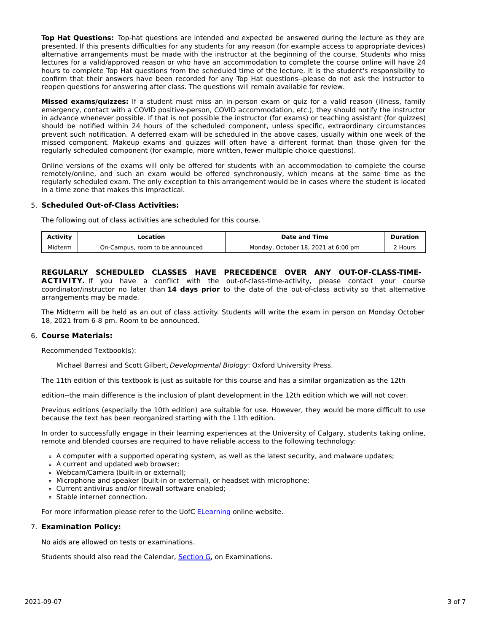**Top Hat Questions:** Top-hat questions are intended and expected be answered during the lecture as they are presented. If this presents difficulties for any students for any reason (for example access to appropriate devices) alternative arrangements must be made with the instructor at the beginning of the course. Students who miss lectures for a valid/approved reason or who have an accommodation to complete the course online will have 24 hours to complete Top Hat questions from the scheduled time of the lecture. It is the student's responsibility to confirm that their answers have been recorded for any Top Hat questions--please do not ask the instructor to reopen questions for answering after class. The questions will remain available for review.

**Missed exams/quizzes:** If a student must miss an in-person exam or quiz for a valid reason (illness, family emergency, contact with a COVID positive-person, COVID accommodation, etc.), they should notify the instructor in advance whenever possible. If that is not possible the instructor (for exams) or teaching assistant (for quizzes) should be notified within 24 hours of the scheduled component, unless specific, extraordinary circumstances prevent such notification. A deferred exam will be scheduled in the above cases, usually within one week of the missed component. Makeup exams and quizzes will often have a different format than those given for the regularly scheduled component (for example, more written, fewer multiple choice questions).

Online versions of the exams will only be offered for students with an accommodation to complete the course remotely/online, and such an exam would be offered synchronously, which means at the same time as the regularly scheduled exam. The only exception to this arrangement would be in cases where the student is located in a time zone that makes this impractical.

## 5. **Scheduled Out-of-Class Activities:**

The following out of class activities are scheduled for this course.

| Activity | .ocation                        | <b>Date and Time</b>                | <b>Duration</b> |
|----------|---------------------------------|-------------------------------------|-----------------|
| Midterm  | On-Campus, room to be announced | Monday, October 18, 2021 at 6:00 pm | ! Hours         |

# **REGULARLY SCHEDULED CLASSES HAVE PRECEDENCE OVER ANY OUT-OF-CLASS-TIME-**

**ACTIVITY.** If you have a conflict with the out-of-class-time-activity, please contact your course coordinator/instructor no later than **14 days prior** to the date of the out-of-class activity so that alternative arrangements may be made.

The Midterm will be held as an out of class activity. Students will write the exam in person on Monday October 18, 2021 from 6-8 pm. Room to be announced.

## 6. **Course Materials:**

Recommended Textbook(s):

Michael Barresi and Scott Gilbert, Developmental Biology: Oxford University Press.

The 11th edition of this textbook is just as suitable for this course and has a similar organization as the 12th

edition--the main difference is the inclusion of plant development in the 12th edition which we will not cover.

Previous editions (especially the 10th edition) are suitable for use. However, they would be more difficult to use because the text has been reorganized starting with the 11th edition.

In order to successfully engage in their learning experiences at the University of Calgary, students taking online, remote and blended courses are required to have reliable access to the following technology:

- A computer with a supported operating system, as well as the latest security, and malware updates;
- A current and updated web browser;
- Webcam/Camera (built-in or external);
- Microphone and speaker (built-in or external), or headset with microphone;
- Current antivirus and/or firewall software enabled;
- Stable internet connection.

For more information please refer to the UofC **[ELearning](https://elearn.ucalgary.ca/technology-requirements-for-students) online website.** 

## 7. **Examination Policy:**

No aids are allowed on tests or examinations.

Students should also read the Calendar, [Section](http://www.ucalgary.ca/pubs/calendar/current/g.html) G, on Examinations.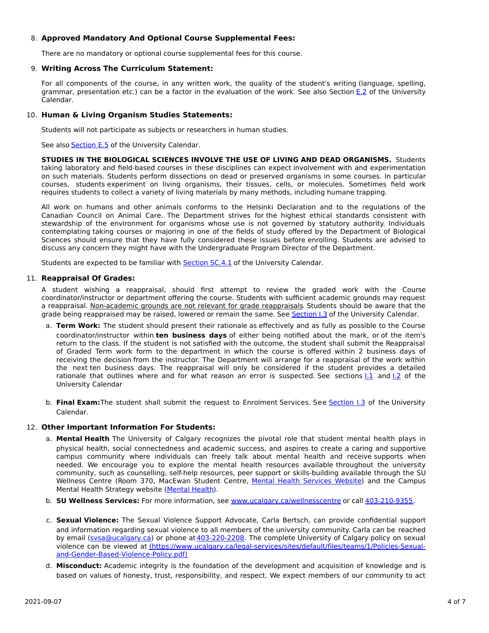# 8. **Approved Mandatory And Optional Course Supplemental Fees:**

There are no mandatory or optional course supplemental fees for this course.

#### 9. **Writing Across The Curriculum Statement:**

For all components of the course, in any written work, the quality of the student's writing (language, spelling, grammar, presentation etc.) can be a factor in the evaluation of the work. See also Section [E.2](http://www.ucalgary.ca/pubs/calendar/current/e-2.html) of the University Calendar.

#### 10. **Human & Living Organism Studies Statements:**

Students will not participate as subjects or researchers in human studies.

See also **[Section](http://www.ucalgary.ca/pubs/calendar/current/e-5.html) E.5** of the University Calendar.

**STUDIES IN THE BIOLOGICAL SCIENCES INVOLVE THE USE OF LIVING AND DEAD ORGANISMS.** Students taking laboratory and field-based courses in these disciplines can expect involvement with and experimentation on such materials. Students perform dissections on dead or preserved organisms in some courses. In particular courses, students experiment on living organisms, their tissues, cells, or molecules. Sometimes field work requires students to collect a variety of living materials by many methods, including humane trapping.

All work on humans and other animals conforms to the Helsinki Declaration and to the regulations of the Canadian Council on Animal Care. The Department strives for the highest ethical standards consistent with stewardship of the environment for organisms whose use is not governed by statutory authority. Individuals contemplating taking courses or majoring in one of the fields of study offered by the Department of Biological Sciences should ensure that they have fully considered these issues before enrolling. Students are advised to discuss any concern they might have with the Undergraduate Program Director of the Department.

Students are expected to be familiar with **[Section](http://www.ucalgary.ca/pubs/calendar/current/sc-4-1.html) SC.4.1** of the University Calendar.

#### 11. **Reappraisal Of Grades:**

A student wishing a reappraisal, should first attempt to review the graded work with the Course coordinator/instructor or department offering the course. Students with sufficient academic grounds may request a reappraisal. Non-academic grounds are not relevant for grade reappraisals. Students should be aware that the grade being reappraised may be raised, lowered or remain the same. See [Section](http://www.ucalgary.ca/pubs/calendar/current/i-3.html) I.3 of the University Calendar.

- a. **Term Work:** The student should present their rationale as effectively and as fully as possible to the Course coordinator/instructor within **ten business days** of either being notified about the mark, or of the item's return to the class. If the student is not satisfied with the outcome, the student shall submit the Reappraisal of Graded Term work form to the department in which the course is offered within 2 business days of receiving the decision from the instructor. The Department will arrange for a reappraisal of the work within the next ten business days. The reappraisal will only be considered if the student provides a detailed rationale that outlines where and for what reason an error is suspected. See sections [I.1](http://www.ucalgary.ca/pubs/calendar/current/i-1.html) and [I.2](http://www.ucalgary.ca/pubs/calendar/current/i-2.html) of the University Calendar
- b. **Final Exam:**The student shall submit the request to Enrolment Services. See [Section](http://www.ucalgary.ca/pubs/calendar/current/i-3.html) I.3 of the University Calendar.

## 12. **Other Important Information For Students:**

- a. **Mental Health** The University of Calgary recognizes the pivotal role that student mental health plays in physical health, social connectedness and academic success, and aspires to create a caring and supportive campus community where individuals can freely talk about mental health and receive supports when needed. We encourage you to explore the mental health resources available throughout the university community, such as counselling, self-help resources, peer support or skills-building available through the SU Wellness Centre (Room 370, MacEwan Student Centre, Mental Health [Services](https://www.ucalgary.ca/wellnesscentre/services/mental-health-services) Website) and the Campus Mental Health Strategy website [\(Mental](http://www.ucalgary.ca/mentalhealth) Health).
- b. **SU Wellness Services:** For more information, see [www.ucalgary.ca/wellnesscentre](http://www.ucalgary.ca/wellnesscentre) or call [403-210-9355.](tel:4032109355)
- c. **Sexual Violence:** The Sexual Violence Support Advocate, Carla Bertsch, can provide confidential support and information regarding sexual violence to all members of the university community. Carla can be reached by email (sysa@ucalgary.ca) or phone at [403-220-2208](tel:4032202208). The complete University of Calgary policy on sexual violence can be viewed at [\(https://www.ucalgary.ca/legal-services/sites/default/files/teams/1/Policies-Sexual](https://www.ucalgary.ca/legal-services/sites/default/files/teams/1/Policies-Sexual-and-Gender-Based-Violence-Policy.pdf)and-Gender-Based-Violence-Policy.pdf)
- d. **Misconduct:** Academic integrity is the foundation of the development and acquisition of knowledge and is based on values of honesty, trust, responsibility, and respect. We expect members of our community to act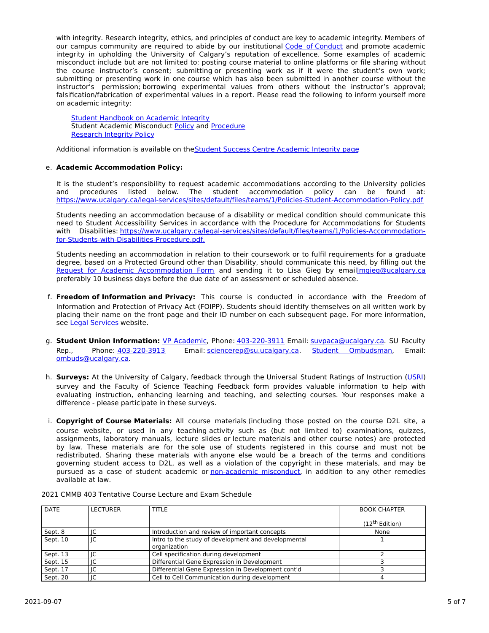with integrity. Research integrity, ethics, and principles of conduct are key to academic integrity. Members of our campus community are required to abide by our institutional Code of [Conduct](https://www.ucalgary.ca/legal-services/sites/default/files/teams/1/Policies-Code-of-Conduct.pdf) and promote academic integrity in upholding the University of Calgary's reputation of excellence. Some examples of academic misconduct include but are not limited to: posting course material to online platforms or file sharing without the course instructor's consent; submitting or presenting work as if it were the student's own work; submitting or presenting work in one course which has also been submitted in another course without the instructor's permission; borrowing experimental values from others without the instructor's approval; falsification/fabrication of experimental values in a report. Please read the following to inform yourself more on academic integrity:

Student [Handbook](https://www.ucalgary.ca/live-uc-ucalgary-site/sites/default/files/teams/9/AI-Student-handbook-1.pdf) on Academic Integrity Student Academic Misconduct [Policy](https://www.ucalgary.ca/legal-services/sites/default/files/teams/1/Policies-Student-Academic-Misconduct-Policy.pdf) and [Procedure](https://www.ucalgary.ca/legal-services/sites/default/files/teams/1/Policies-Student-Academic-Misconduct-Procedure.pdf) [Research](https://www.ucalgary.ca/legal-services/sites/default/files/teams/1/Policies-Research-Integrity-Policy.pdf) Integrity Policy

Additional information is available on theStudent Success Centre [Academic](https://ucalgary.ca/student-services/student-success/learning/academic-integrity) Integrity page

## e. **Academic Accommodation Policy:**

It is the student's responsibility to request academic accommodations according to the University policies and procedures listed below. The student accommodation policy can be found at: <https://www.ucalgary.ca/legal-services/sites/default/files/teams/1/Policies-Student-Accommodation-Policy.pdf>

Students needing an accommodation because of a disability or medical condition should communicate this need to Student Accessibility Services in accordance with the Procedure for Accommodations for Students with Disabilities: [https://www.ucalgary.ca/legal-services/sites/default/files/teams/1/Policies-Accommodation](https://www.ucalgary.ca/legal-services/sites/default/files/teams/1/Policies-Accommodation-for-Students-with-Disabilities-Procedure.pdf)for-Students-with-Disabilities-Procedure.pdf.

Students needing an accommodation in relation to their coursework or to fulfil requirements for a graduate degree, based on a Protected Ground other than Disability, should communicate this need, by filling out the Request for Academic [Accommodation](https://science.ucalgary.ca/sites/default/files/teams/1/request-accommodation-academic-courses.pdf) Form and sending it to Lisa Gieg by emai[llmgieg@ucalgary.ca](mailto:lmgieg@ucalgary.ca) preferably 10 business days before the due date of an assessment or scheduled absence.

- f. **Freedom of Information and Privacy:** This course is conducted in accordance with the Freedom of Information and Protection of Privacy Act (FOIPP). Students should identify themselves on all written work by placing their name on the front page and their ID number on each subsequent page. For more information, see Legal [Services](https://www.ucalgary.ca/legal-services/access-information-privacy) website.
- g. **Student Union Information:** VP [Academic](http://www.su.ucalgary.ca/contact), Phone: [403-220-3911](tel:4032203911) Email: [suvpaca@ucalgary.ca](mailto:suvpaca@ucalgary.ca). SU Faculty Rep., Phone: [403-220-3913](tel:4032203913) Email: [sciencerep@su.ucalgary.ca](mailto:sciencerep@su.ucalgary.ca). Student [Ombudsman](https://www.ucalgary.ca/ombuds/), Email: [ombuds@ucalgary.ca](mailto:%20ombuds@ucalgary.ca).
- h. **Surveys:** At the University of Calgary, feedback through the Universal Student Ratings of Instruction [\(USRI](http://www.ucalgary.ca/usri)) survey and the Faculty of Science Teaching Feedback form provides valuable information to help with evaluating instruction, enhancing learning and teaching, and selecting courses. Your responses make a difference - please participate in these surveys.
- i. **Copyright of Course Materials:** All course materials (including those posted on the course D2L site, a course website, or used in any teaching activity such as (but not limited to) examinations, quizzes, assignments, laboratory manuals, lecture slides or lecture materials and other course notes) are protected by law. These materials are for the sole use of students registered in this course and must not be redistributed. Sharing these materials with anyone else would be a breach of the terms and conditions governing student access to D2L, as well as a violation of the copyright in these materials, and may be pursued as a case of student academic or [non-academic](https://www.ucalgary.ca/conduct/policy/non-academic-misconduct-policy) misconduct, in addition to any other remedies available at law.

| <b>DATE</b> | <b>LECTURER</b> | <b>TITLE</b>                                                        | <b>BOOK CHAPTER</b>        |
|-------------|-----------------|---------------------------------------------------------------------|----------------------------|
|             |                 |                                                                     | (12 <sup>th</sup> Edition) |
| Sept. 8     |                 | Introduction and review of important concepts                       | None                       |
| Sept. 10    | IC              | Intro to the study of development and developmental<br>organization |                            |
| Sept. 13    |                 | Cell specification during development                               |                            |
| Sept. 15    | IC              | Differential Gene Expression in Development                         |                            |
| Sept. 17    |                 | Differential Gene Expression in Development cont'd                  |                            |
| Sept. 20    | IC              | Cell to Cell Communication during development                       |                            |

#### 2021 CMMB 403 Tentative Course Lecture and Exam Schedule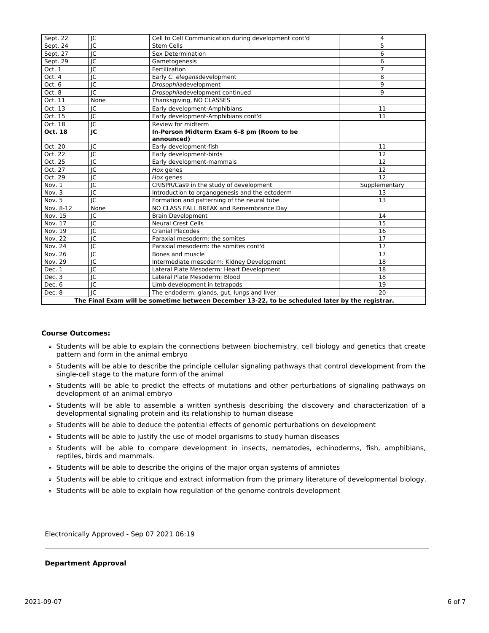| Sept. 22                                                                                        | IC                       | Cell to Cell Communication during development cont'd | 4              |  |  |
|-------------------------------------------------------------------------------------------------|--------------------------|------------------------------------------------------|----------------|--|--|
| Sept. 24                                                                                        | IC                       | <b>Stem Cells</b>                                    | 5              |  |  |
| Sept. 27                                                                                        | IC                       | Sex Determination                                    | 6              |  |  |
| Sept. 29                                                                                        | IC                       | Gametogenesis                                        | 6              |  |  |
| Oct. 1                                                                                          | IC                       | Fertilization                                        | $\overline{7}$ |  |  |
| Oct. 4                                                                                          | jc                       | Early C. elegansdevelopment                          | 8              |  |  |
| Oct. 6                                                                                          | JC                       | Drosophiladevelopment                                | 9              |  |  |
| Oct. 8                                                                                          | $\overline{\mathsf{IC}}$ | Drosophiladevelopment continued                      | 9              |  |  |
| Oct. 11                                                                                         | None                     | Thanksgiving, NO CLASSES                             |                |  |  |
| Oct. 13                                                                                         | IC                       | Early development-Amphibians                         | 11             |  |  |
| Oct. 15                                                                                         | IC                       | Early development-Amphibians cont'd                  | 11             |  |  |
| Oct. 18                                                                                         | $\overline{\text{IC}}$   | Review for midterm                                   |                |  |  |
| Oct. 18                                                                                         | JC                       | In-Person Midterm Exam 6-8 pm (Room to be            |                |  |  |
|                                                                                                 |                          | announced)                                           |                |  |  |
| Oct. 20                                                                                         | JC                       | Early development-fish                               | 11             |  |  |
| Oct. 22                                                                                         | IC                       | Early development-birds                              | 12             |  |  |
| Oct. 25                                                                                         | IC                       | Early development-mammals                            | 12             |  |  |
| Oct. 27                                                                                         | JC                       | Hox genes                                            | 12             |  |  |
| Oct. 29                                                                                         | IC                       | Hox genes                                            | 12             |  |  |
| Nov. 1                                                                                          | IC                       | CRISPR/Cas9 in the study of development              | Supplementary  |  |  |
| Nov. 3                                                                                          | IC                       | Introduction to organogenesis and the ectoderm       | 13             |  |  |
| Nov. 5                                                                                          | $\overline{\mathsf{IC}}$ | Formation and patterning of the neural tube          | 13             |  |  |
| Nov. 8-12                                                                                       | None                     | NO CLASS FALL BREAK and Remembrance Day              |                |  |  |
| Nov. 15                                                                                         | IC                       | <b>Brain Development</b>                             | 14             |  |  |
| Nov. 17                                                                                         | IC                       | <b>Neural Crest Cells</b>                            | 15             |  |  |
| Nov. 19                                                                                         | IC                       | <b>Cranial Placodes</b>                              | 16             |  |  |
| <b>Nov. 22</b>                                                                                  | IC                       | Paraxial mesoderm: the somites                       | 17             |  |  |
| Nov. 24                                                                                         | JC                       | Paraxial mesoderm: the somites cont'd                | 17             |  |  |
| Nov. 26                                                                                         | IC                       | Bones and muscle                                     | 17             |  |  |
| Nov. 29                                                                                         | IC                       | Intermediate mesoderm: Kidney Development            | 18             |  |  |
| Dec. 1                                                                                          | $\overline{\text{IC}}$   | Lateral Plate Mesoderm: Heart Development            | 18             |  |  |
| Dec. 3                                                                                          | IC                       | Lateral Plate Mesoderm: Blood                        | 18             |  |  |
| Dec. 6                                                                                          | JC                       | Limb development in tetrapods                        | 19             |  |  |
| Dec. 8                                                                                          | IC                       | The endoderm: glands, gut, lungs and liver           | 20             |  |  |
| The Final Exam will be sometime between December 13-22, to be scheduled later by the registrar. |                          |                                                      |                |  |  |

#### **Course Outcomes:**

- Students will be able to explain the connections between biochemistry, cell biology and genetics that create pattern and form in the animal embryo
- Students will be able to describe the principle cellular signaling pathways that control development from the single-cell stage to the mature form of the animal
- Students will be able to predict the effects of mutations and other perturbations of signaling pathways on development of an animal embryo
- Students will be able to assemble a written synthesis describing the discovery and characterization of a developmental signaling protein and its relationship to human disease
- Students will be able to deduce the potential effects of genomic perturbations on development
- Students will be able to justify the use of model organisms to study human diseases
- Students will be able to compare development in insects, nematodes, echinoderms, fish, amphibians, reptiles, birds and mammals.
- Students will be able to describe the origins of the major organ systems of amniotes
- Students will be able to critique and extract information from the primary literature of developmental biology.
- Students will be able to explain how regulation of the genome controls development

Electronically Approved - Sep 07 2021 06:19

#### **Department Approval**